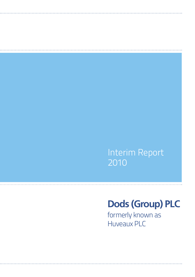## Interim Report 2010

# **Dods (Group) PLC**

formerly known as Huveaux PLC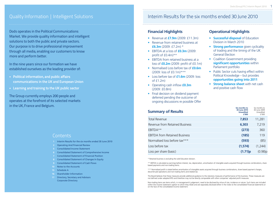Dods operates in the Political Communications Market. We provide quality information and intelligent solutions to both the public and private sectors. Our purpose is to drive professional improvement through all media, enabling our customers to know more and perform better.

In the nine years since our formation we have established ourselves as the leading provider of:

- Political information, and public affairs communications in the UK and European Union
- Learning and training to the UK public sector

The Group currently employs 200 people and operates at the forefront of its selected markets in the UK, France and Belgium.

### **Contents**

- 1 Interim Results for the six months ended 30 June 2010
- **2 Operating And Financial Review**
- 5 Consolidated Income Statement
- 6 Consolidated Statement of Comprehensive Income
- 7 Consolidated Statement of Financial Position
- 8 Consolidated Statement of Changes In Equity
- 9 Consolidated Statement of Cash Flows
- 10 Notes to the Accounts
- 15 Schedule A
- 16 Shareholder Information
- 17 Directory, Secretary and Advisors Corporate Directory

### Quality Information | Intelligent Solutions Interim Results for the six months ended 30 June 2010

### **Financial Highlights**

- Revenue at **£7.9m** (2009: £11.3m)
- Revenue from retained business at **£6.3m** (2009: £7.2m) \*
- EBITDA at a loss of **£0.3m** (2009: profit of £0.4m)\*\*
- **EBITDA** from retained business at a loss of **£0.2m** (2009: profit of £0.1m)
- Normalised Loss before tax of **£0.6m** (2009: loss of £0.1m)\*\*\*
- Loss before tax of **£1.6m** (2009: loss of £1.2m)
- Operating cash inflow **£0.3m** (2009: £0.8m)
- Final decision on dividend payment deferred pending the outcome of ongoing discussions re possible Offer

### **Operational Highlights**

- **Successful disposal** of Education Division in March 2010
- **Strong performance** given cyclicality of trading and the timing of the UK General Election
- Coalition Government providing **significant opportunities** within Parliament portfolio
- Public Sector cuts having effect within Political Knowledge – but provides **opportunities going into 2011**
- **Strong balance sheet** with net cash and positive cash flow

| <b>Summary of Results</b>            | Six months to<br>30 June 2010<br><b>Unaudited</b><br>£'000 | Six months to<br>30 June 2009<br>Unaudited<br>£'000 |
|--------------------------------------|------------------------------------------------------------|-----------------------------------------------------|
| <b>Total Revenue</b>                 | 7,853                                                      | 11,281                                              |
| Revenue from Retained Business       | 6,303                                                      | 7,219                                               |
| EBITDA**                             | (273)                                                      | 360                                                 |
| <b>EBITDA</b> from Retained Business | (185)                                                      | 119                                                 |
| Normalised loss before tax***        | (593)                                                      | (85)                                                |
| Loss before tax                      | (1, 574)                                                   | (1,244)                                             |
| Loss per share (basic)               | (1.71)p                                                    | $(0.98)$ p                                          |

\* Retained business is excluding the sold Education division.

\*\* EBITDA is calculated as earnings before interest, tax, depreciation, amortisation of intangible assets acquired through business combinations, share based payments and non-trading items.

\*\*\* Normalised profit is stated before amortisation of intangible assets acquired through business combinations, share based payment charges, discontinued operations and non-trading items and related tax.

The Board believes that these measures provide additional guidance to the statutory measures of performance of the business. These measures are not defined under adopted IFRS and therefore may not be directly comparable with other companies' adjusted profit measures.

Non-trading items are items which, in management's judgement, need to be disclosed by virtue of size, incidence or nature. Such items are included within the income statement caption to which they relate and are separately disclosed either in the notes to the consolidated financial statements or on the face of the consolidated income statement.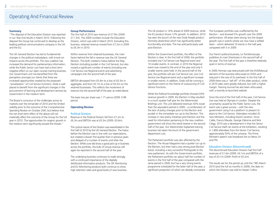## Operating And Financial Review

### **Summary**

"The disposal of the Education Division was reported in our Year End results in March 2010. Following this disposal the Group has continued to develop as the leading political communications company in the UK and the EU.

The UK General Election has led to fundamental changes in the political marketplace, with knock-on impacts across the portfolio. The new coalition has increased the demand for parliamentary information, while the Public Sector cuts have had a short term negative effect on our open courses training business. Our Government unit has benefited from the perception amongst our clients that there are increased opportunities created by the proposed "privatisation" of Civil Service functions. Dods is well placed to benefit from the significant changes in the procurement of learning and development services by Government in the medium term.

The Board is conscious of the challenges across its markets over the remainder of 2010 and the limited visibility prior to the outcome of the Comprehensive Spending Review on October 20th, but believe that the net short-term effect of the above will not materially affect the outcome of the Group for the full year in 2010. The opportunities for organic growth in the medium term significantly exceed the threats."

### **Group Performance**

The first half of 2010 saw revenue of £7.9m (2009: £11.3m). The 2009 numbers include the Education Division, which was sold in March 2010. Excluding this business, retained revenue moved from £7.2m in 2009 to £6.3m in 2010.

Within revenue from retained businesses, the main factor behind the fall in revenue was the UK General Election. This both created a hiatus before the May Election (including purdah in the Civil Service), but also moved a significant number of events (including one Civil Service Live Regional event) and advertising campaigns into the second half of the year.

EBITDA decreased from £0.4m to a loss of £0.3m in aggregate, and from £0.1m to a loss of £0.2m on the retained businesses. This reflects the movement of revenue into the second half of the year, as noted above.

The basic loss per share was 1.71 pence (2009: 0.98 pence).

### **Operating Review**

### Political Division

Revenue in the Political Division fell from £7.2m to £6.3m and EBITDA was at £0.3m (2009: £0.6m).

The cyclical nature of the Division was exacerbated in the first half of 2010 by the UK General Election. The hiatus before the Election was in line with our expectations, but created a slower first quarter than in previous years and delayed of a number of events until after the Election. While June did show a good pick-up in business across the portfolio, the bulk of Group revenue will again be reported in the second half of the year.

The underlying business continues to trade strongly, with a continued importance of the digitally distributed information products. The UK Monitoring and EU Monitoring products both continue to show high retention rates and good levels of new business. The UK product is 14% ahead of 2009 revenue, while the EU product shows 12% growth. In addition, 2010 has seen the launch of the new Dods People product (formerly dodonline) which has significantly better functionality and data. This has sold particularly well post-Election.

Within the Government portfolio, the effect of the Election is clear. In the first half of 2009, the portfolio included one Civil Service Live Regional event and 10 smaller events. In contrast, in 2010 the Regional event was moved to the end of the year and only 5 smaller events were held. In the second half of the year, the portfolio will see Civil Service Live, one Civil Service Live Regional event and a significant increase in smaller events. In addition, Dods will be running a significant event on the theme of outsourcing of Civil Service functions.

While the Political Knowledge portfolio showed 24% revenue growth in 2009, the Election in May resulted in a much quieter half year for the Westminster Briefings unit. This unit delivered revenues 50% lower than the equivalent period in 2009 – a combination of the lack of policy changes prior to the Election and purdah in the immediate run up to the Election. The increase in new policy initiatives post Election and the need for information pertaining to the new coalition government will show this trend reverse in the second half of the year. Our Westminster Explained training business has taken the brunt of the government department cuts.

The Parliament portfolio was also affected by the Election. The House Magazine had a quieter run up to the Election, but then had a very strong post-Election boost, including a very successful Photoguide to the new parliament. As with the Government portfolio, the Parliament portfolio ran about half the number of events in the first half of the year compared with the same period in 2009, but has a very strong events programme scheduled for the latter half of the year, a significant proportion of which are already contracted.

The European portfolio was unaffected by the Election – and showed 5% growth over the 2009 performance. All areas were strong, but the largest growth was in events where we now have a settled team – which delivered 10 events in the half year, compared with 5 in 2009.

Our French political business, Le Trombinoscope, publishes its main Directories in the second half of the year. The first half of the year is therefore relatively quiet in terms of revenue.

In 2009, Fenman was restructured with the DVD/Manual element of the business refocussed on DVDs and reduced in the size of its overhead. In the first half of 2009 there was a "sell off" of the older product, while in 2010 sales were greatly reduced, but with a higher margin. Training Journal has also been refocussed, with a recently re-launched website.

Since the end of the first half of the year, Civil Service Live was held at Olympia in London. Despite the uncertainty caused by the Public Sector cuts, the event was a great success – with the new government using it as a platform to present its plans to the Civil Service. Attendees included 20 new Ministers, including David Cameron, Vince Cable, Francis Maude, George Osborne and Nick Clegg. 2010 saw a development in that the Senior Civil Service itself ran events at the Exhibition, resulting in 1,800 attendees from the Senior Civil Service, approximately 50% of the universe. The Prime Minister's speech was broadcast live on News 24 and ITN.

### Education Division (Discontinued)

The discontinued Education Division had first half revenues of £1.6m (2009: £4.1m) and EBITDA of a loss of £0.1m (2009: Profit of £0.2m).

The results are for the period up until the 19th March 2010 (and the full six months in 2009), the date on which the Division was sold to Harper Collins.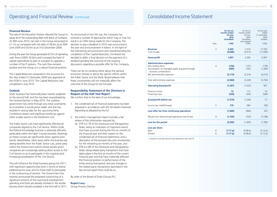## Operating and Financial Review continued Consolidated Income Statement

### **Financial Review**

The sale of the Education Division allowed the Group to repay all of the outstanding debt with Bank of Scotland. At 30th June 2010, net cash in the Group amounted to £1.1m as compared with net debt of £8.6m as at 30th June 2009 and £6.6m as at 31st December 2009.

During the year the Group generated £0.3m of operating cash flows (2009: £0.8m) and increased the level of capital expenditure as part of a project to upgrade a number of the IT systems. The cash flow remains positive and the Group is in a robust financial position.

The Capital Reduction proposed in the accounts for the Year Ended 31 December 2009 was approved at the AGM in June 2010. The Capital Reduction was completed in July 2010.

### **Outlook**

Dods' business has historically been heavily weighted to the second half, and this has been exacerbated by the General Election in May 2010. The coalition government has come through any initial uncertainty as to whether it would prove viable, and this has resulted in strong sales for the upcoming Party Conference season and significant bookings against other smaller events in the Parliament unit.

The Public Sector cuts have significantly affected all companies aligned to the Civil Service. Within Dods, the Political Knowledge business is adversely affected, particularly within the Open Courses business. Bookings on these courses are significantly down against prior trends. Nevertheless, other areas within the business are seeing benefits from the Public Sector cuts, particularly within the Government events where private sector companies are increasingly seeking direct access to the Civil Service so as to participate in the ongoing (and increasing) privatisation of the Civil Service.

This will influence the Dods business going into 2011, with significant opportunities both in terms of events addressing this issue and for Dods itself to participate in the outsourcing of services. The Government has recently announced the proposed outsourcing of a significant amount of the Learning & Development spending and Dods are already involved in the tender process which should complete in the first half of 2011. As announced on the 5th July, the Company has received a number of approaches which may or may not result in an Offer being made for the Company. The decision to pay a dividend in 2010 was announced in the year end announcement in March. In the light of the intervening announcement and notwithstanding the completion of the Capital Reduction, the Board has decided to defer a final decision on the payment of a dividend pending the outcome of the ongoing discussions regarding a possible offer for the Company.

There can be no certainty either about the general economic climate or about the specific effects within the Public Sector, but the Dods' Board believes that these uncertainties will not materially affect the outcome of the Group for the full year.

### **Responsibility Statement of the Directors in Respect of the Half Year Report**

We confirm that to the best of our knowledge:

- 1. the condensed set of financial statements has been prepared in accordance with IAS 34 *Interim Financial Reporting* as adopted by the EU.
- 2. the interim management report includes a fair review of the information required by:
	- (a) DTR 4.2.7R of the *Disclosure and Transparency Rules,* being an indication of important events that have occurred during the first six months of the financial year and their impact on the condensed set of financial statements; and a description of the principal risks and uncertainties for the remaining six months of the year; and
	- (b) DTR 4.2.8R of the *Disclosure and Transparency Rules,* being related party transactions that have taken place in the first six months of the current financial year and that have materially affected the financial position or performance of the entity during that period; and any changes in the related party transactions described in the last annual report that could do so.

By order of the Board of Dods (Group) PLC

#### **Rupert Levy**

Group Finance Director

|                                                                                                                                                                    | Note           | For the six<br>months ended<br>30 June<br>2010<br><b>Unaudited</b><br>£'000 | For the six<br>months ended<br>30 June<br>2009<br>Unaudited<br>and restated*<br>f'000 | For the year<br>ended<br>31 December<br>2009<br>Audited<br>£'000 |
|--------------------------------------------------------------------------------------------------------------------------------------------------------------------|----------------|-----------------------------------------------------------------------------|---------------------------------------------------------------------------------------|------------------------------------------------------------------|
| <b>Revenue</b><br>Cost of sales                                                                                                                                    | 3              | 6.303<br>(4,606)                                                            | 7,219<br>(5,013)                                                                      | 17,335<br>(11, 028)                                              |
| <b>Gross profit</b>                                                                                                                                                |                | 1,697                                                                       | 2,206                                                                                 | 6,307                                                            |
| <b>Administrative expenses:</b><br>Non-trading items<br>Amortisation of intangible assets acquired through<br>business combinations<br>Net administrative expenses | $\overline{4}$ | (156)<br>(695)<br>(2, 113)                                                  | (131)<br>(781)<br>(2,316)                                                             | (178)<br>(1, 349)<br>(4, 213)                                    |
| Total administrative expenses                                                                                                                                      |                | (2,964)                                                                     | (3,228)                                                                               | (5,740)                                                          |
| <b>Operating (loss)/profit</b>                                                                                                                                     |                | (1,267)                                                                     | (1,022)                                                                               | 567                                                              |
| Finance income<br>Financing costs                                                                                                                                  |                | 13<br>(320)                                                                 | 113<br>(335)                                                                          | 14<br>(569)                                                      |
| (Loss)/profit before tax                                                                                                                                           |                | (1,574)                                                                     | (1,244)                                                                               | 12                                                               |
| Income tax credit/(charge)                                                                                                                                         | 5              | 174                                                                         | 284                                                                                   | (59)                                                             |
| Loss after tax from continuing operations                                                                                                                          |                | (1,400)                                                                     | (960)                                                                                 | (47)                                                             |
| Results from discontinued operations (net of tax)                                                                                                                  | 9              | (1, 195)                                                                    | (533)                                                                                 | (7, 738)                                                         |
| Loss for the period                                                                                                                                                |                | (2, 595)                                                                    | (1,493)                                                                               | (7, 785)                                                         |
| Loss per share<br><b>Basic</b><br><b>Diluted</b>                                                                                                                   | 6<br>6         | (1.71 p)<br>(1.71 p)                                                        | (0.98 p)<br>(0.98 p)                                                                  | (5.12 p)<br>(5.12 p)                                             |

\* restated to exclude discontinued operations (see note 9)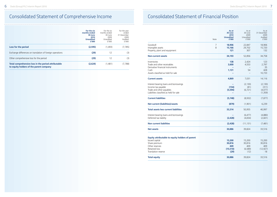## Consolidated Statement of Comprehensive Income Consolidated Statement of Financial Position

|                                                                                                | For the six<br>months ended<br>30 June<br>2010<br><b>Unaudited</b><br>£'000 | For the six<br>months ended<br>30 June<br>2009<br>Unaudited<br>f'000 | For the year<br>ended<br>31 December<br>2009<br>Audited<br>f'000 |
|------------------------------------------------------------------------------------------------|-----------------------------------------------------------------------------|----------------------------------------------------------------------|------------------------------------------------------------------|
| Loss for the period                                                                            | (2,595)                                                                     | (1,493)                                                              | (7, 785)                                                         |
| Exchange differences on translation of foreign operations                                      | (29)                                                                        | 12                                                                   | (3)                                                              |
| Other comprehensive loss for the period                                                        | (29)                                                                        | 12                                                                   | (3)                                                              |
| Total comprehensive loss in the period attributable<br>to equity holders of the parent company | (2,624)                                                                     | (1,481)                                                              | (7,788)                                                          |

|                                                                                                                                              | Note   | As at<br>30 June<br>2010<br><b>Unaudited</b><br>£'000 | As at<br>30 June<br>2009<br>Unaudited<br>f'000 | As at<br>31 December<br>2009<br>Audited<br>f'000 |
|----------------------------------------------------------------------------------------------------------------------------------------------|--------|-------------------------------------------------------|------------------------------------------------|--------------------------------------------------|
| Goodwill<br>Intangible assets<br>Property, plant and equipment                                                                               | 7<br>8 | 18,906<br>15,166<br>121                               | 22,847<br>29,702<br>307                        | 18,906<br>15,720<br>132                          |
| <b>Non-current assets</b>                                                                                                                    |        | 34,193                                                | 52,856                                         | 34,758                                           |
| Inventories<br>Trade and other receivables<br>Derivative financial instruments<br>Cash<br>Assets classified as held for sale                 |        | 138<br>3,600<br>1,131                                 | 2,424<br>4,553<br>54<br>$\equiv$               | 123<br>2,797<br>35<br>428<br>10,733              |
| <b>Current assets</b>                                                                                                                        |        | 4,869                                                 | 7,031                                          | 14,116                                           |
| Interest bearing loans and borrowings<br>Income tax payable<br>Trade and other payables<br>Liabilities classified as held for sale           |        | (154)<br>(5, 594)                                     | (2, 130)<br>(81)<br>(6, 721)                   | (2, 130)<br>(311)<br>(4,077)<br>(1, 359)         |
| <b>Current liabilities</b>                                                                                                                   |        | (5,748)                                               | (8,932)                                        | (7, 877)                                         |
| Net current (liabilities)/assets                                                                                                             |        | (879)                                                 | (1,901)                                        | 6,239                                            |
| <b>Total assets less current liabilities</b>                                                                                                 |        | 33,314                                                | 50,955                                         | 40,997                                           |
| Interest bearing loans and borrowings<br>Deferred tax liability                                                                              |        | (2,428)                                               | (6, 477)<br>(4,654)                            | (4,880)<br>(2,601)                               |
| <b>Non current liabilities</b>                                                                                                               |        | (2,428)                                               | (11, 131)                                      | (7, 481)                                         |
| <b>Net assets</b>                                                                                                                            |        | 30,886                                                | 39,824                                         | 33,516                                           |
| Equity attributable to equity holders of parent<br>Issued capital<br>Share premium<br>Other reserves<br>Retained loss<br>Translation reserve |        | 15,200<br>30,816<br>409<br>(15,510)<br>(29)           | 15,200<br>30,816<br>409<br>(6,589)<br>(12)     | 15,200<br>30,816<br>409<br>(12, 927)<br>18       |
| <b>Total equity</b>                                                                                                                          |        | 30,886                                                | 39,824                                         | 33,516                                           |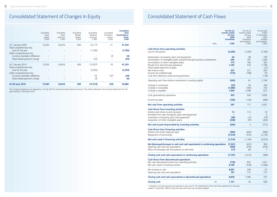## Consolidated Statement of Changes In Equity

| <b>At 30 June 2010</b>                                                                    | 15,200                                 | 30,816                                 | 409                                     | (15, 510)                                  | (29)                                         | 30,886                                                              |
|-------------------------------------------------------------------------------------------|----------------------------------------|----------------------------------------|-----------------------------------------|--------------------------------------------|----------------------------------------------|---------------------------------------------------------------------|
| Other comprehensive loss<br>Currency translation difference<br>Share based payment charge |                                        |                                        |                                         | 18<br>(6)                                  | (47)                                         | (29)<br>(6)                                                         |
| Total comprehensive loss<br>Loss for the year                                             |                                        |                                        |                                         | (2,595)                                    |                                              | (2, 595)                                                            |
| At 1 January 2010                                                                         | 15,200                                 | 30,816                                 | 409                                     | (12, 927)                                  | 18                                           | 41,329                                                              |
| Other comprehensive loss<br>Currency translation difference<br>Share based payment charge |                                        |                                        |                                         | (25)                                       | (3)                                          | (3)<br>(25)                                                         |
| Total comprehensive loss<br>Loss for the year                                             |                                        |                                        |                                         | (7, 785)                                   |                                              | (7,785)                                                             |
| At 1 January 2009                                                                         | 15,200                                 | 30,816                                 | 409                                     | (5, 117)                                   | 21                                           | 41,329                                                              |
|                                                                                           | Unaudited<br>Share<br>capital<br>f'000 | Unaudited<br>Share<br>premium<br>£'000 | Unaudited<br>Merger<br>reserve<br>£'000 | Unaudited<br>Retained<br>earnings<br>£'000 | Unaudited<br>Translation<br>reserve<br>£'000 | <b>Unaudited</b><br><b>Total</b><br>Shareholders'<br>funds<br>£'000 |

The company obtained court approval on 14 July 2010 to cancel the share premium account. This will be reflected in the financial statements for the year ending 31 December 2010.

### Consolidated Statement of Cash Flows

|                                                                                                                                                                                                                                                                                                                                                   | Note | For the six<br>months ended<br>30 June<br>2009<br><b>Unaudited</b><br>£'000 | For the six<br>months ended<br>30 June<br>2009<br>Unaudited<br>and restated*<br>f'000 | For the year<br>ended<br>31 December<br>2009<br>Audited<br>and restated*<br>£'000 |
|---------------------------------------------------------------------------------------------------------------------------------------------------------------------------------------------------------------------------------------------------------------------------------------------------------------------------------------------------|------|-----------------------------------------------------------------------------|---------------------------------------------------------------------------------------|-----------------------------------------------------------------------------------|
| <b>Cash flows from operating activities</b><br>Loss for the period                                                                                                                                                                                                                                                                                |      | (2,595)                                                                     | (1,493)                                                                               | (7, 785)                                                                          |
| Depreciation of property, plant and equipment<br>Amortisation of intangible assets acquired through business combinations<br>Amortisation of other intangible assets<br>Results from discontinued operations<br>Share based payments charges<br>Net finance costs<br>Income tax (credit)/charge<br>Cash flow relating to restructuring provisions |      | 54<br>695<br>173<br>1.195<br>307<br>(174)                                   | 58<br>781<br>169<br>533<br>221<br>(188)                                               | 109<br>1,349<br>355<br>7,738<br>(12)<br>555<br>59<br>(178)                        |
| Operating cash flows before movements in working capital                                                                                                                                                                                                                                                                                          |      | (345)                                                                       | 81                                                                                    | 2,190                                                                             |
| Change in inventories<br>Change in receivables<br>Change in payables                                                                                                                                                                                                                                                                              |      | (22)<br>(1,084)<br>1,904                                                    | 54<br>(303)<br>1,098                                                                  | 100<br>730<br>815                                                                 |
| Cash generated by operations                                                                                                                                                                                                                                                                                                                      |      | 453                                                                         | 930                                                                                   | 3,835                                                                             |
| Income tax paid                                                                                                                                                                                                                                                                                                                                   |      | (156)                                                                       | (159)                                                                                 | (408)                                                                             |
| Net cash from operating activities                                                                                                                                                                                                                                                                                                                |      | 297                                                                         | 771                                                                                   | 3.427                                                                             |
| <b>Cash flows from investing activities</b><br>Interest and similar income received<br>Proceeds from sale of property, plant and equipment<br>Acquisition of property, plant and equipment<br>Acquisition of other intangible assets                                                                                                              |      | 13<br>(99)<br>(258)                                                         | 112<br>(12)<br>(97)                                                                   | 14<br>$5\overline{)}$<br>(70)<br>(262)                                            |
| Net cash (used in)/provided by investing activities                                                                                                                                                                                                                                                                                               |      | (344)                                                                       | 3                                                                                     | (313)                                                                             |
| <b>Cash flows from financing activities</b><br>Interest and similar expenses paid<br>Repayment of borrowings                                                                                                                                                                                                                                      |      | (304)<br>(7,010)                                                            | (663)<br>(533)                                                                        | (684)<br>(2, 130)                                                                 |
| Net cash used in financing activities                                                                                                                                                                                                                                                                                                             |      | (7, 314)                                                                    | (1, 196)                                                                              | (2,814)                                                                           |
| Net (decrease)/increase in cash and cash equivalents in continuing operations<br>Opening cash and cash equivalents<br>Effect of exchange rate fluctuations on cash held                                                                                                                                                                           |      | (7, 361)<br>(369)<br>(17)                                                   | (422)<br>(676)<br>86                                                                  | 300<br>(676)<br>7                                                                 |
| Closing cash and cash equivalents in continuing operations                                                                                                                                                                                                                                                                                        |      | (7, 747)                                                                    | (1,012)                                                                               | (369)                                                                             |
| <b>Cash flows from discontinued operations</b><br>Net cash (decrease)/increase from operating activities<br>Net cash used in investing activities                                                                                                                                                                                                 |      | (718)<br>8.799                                                              | 822<br>(528)                                                                          | 1.031<br>(1,006)                                                                  |
| Net increase in cash<br>Opening cash and cash equivalents                                                                                                                                                                                                                                                                                         |      | 8,081<br>797                                                                | 294<br>772                                                                            | 25<br>772                                                                         |
| Closing cash and cash equivalents in discontinued operations                                                                                                                                                                                                                                                                                      |      | 8,878                                                                       | 1,066                                                                                 | 797                                                                               |
| <b>Closing cash</b>                                                                                                                                                                                                                                                                                                                               | 10   | 1.131                                                                       | 54                                                                                    | 428                                                                               |

\* restated to exclude discontinued operations (see note 9). The restatement of the cash flow statement for the year ended 31 December 2009 for discontinued cash flows has not been audited.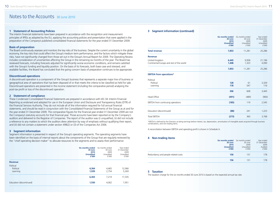### Notes to the Accounts 30 June 2010

### **1 Statement of Accounting Policies**

The interim financial statements have been prepared in accordance with the recognition and measurement principles of IFRSs as adopted by the EU, applying the accounting policies and presentation that were applied in the preparation of the Company's published consolidated financial statements for the year ended 31 December 2009.

### **Basis of preparation**

The Board continuously assesses and monitors the key risks of the business. Despite the current uncertainty in the global economy, the key risks that could affect the Group's medium term performance, and the factors which mitigate these risks, have not significantly changed from those set out in the Group's Annual Report for 2009. The Operating Review includes consideration of uncertainties affecting the Group in the remaining six months of the year. The Board has reviewed forecasts, including forecasts adjusted for significantly worse economic conditions, and remains satisfied with the Group's funding and liquidity position. On the basis of its forecasts, both base case and stressed, and available facilities, the Board has concluded that the going concern basis of preparation continues to be appropriate.

### **Discontinued operations**

A discontinued operation is a component of the Group's business that represents a separate major line of business or geographical area of operations that has been disposed of or that meets the criteria to be classified as held for sale. Discontinued operations are presented in the income statement (including the comparative period) analysing the post-tax profit or loss of the discontinued operation.

### **2 Statement of compliance**

These Condensed Consolidated Financial Statements are prepared in accordance with IAS 34: Interim Financial Reporting as endorsed and adopted for use in the European Union and Disclosure and Transparency Rules (DTR) of the Financial Services Authority. They do not include all of the information required for full annual financial statements, and should be read in conjunction with the Consolidated Financial Statements of the Group as at and for the year ended 31 December 2009. The comparative figures for the financial year ended 31 December 2009 are not the Company's statutory accounts for that financial year. Those accounts have been reported on by the Company's auditors and delivered to the Registrar of Companies. The report of the auditor was (i) unqualified, (ii) did not include a reference to any matters to which the auditors drew attention by way of emphasis without qualifying their report, and (iii) did not contain a statement under section 498(2) or (3) of the Companies Act 2006.

### **3 Segment information**

Segment information is presented in respect of the Group's operating segments. The operating segments have been identified on the basis of internal reports about the components of the Group that are regularly reviewed by the "chief operating decision maker" to allocate resources to the segments and to assess their performance.

|                                    | Six months ended<br>30 June<br>2010<br><b>Unaudited</b><br>£'000 | Six months ended<br>30 June<br>2009<br>Unaudited<br>£'000 | Year ended<br>31 December<br>2009<br>Unaudited<br>f'000 |
|------------------------------------|------------------------------------------------------------------|-----------------------------------------------------------|---------------------------------------------------------|
| Revenue                            |                                                                  |                                                           |                                                         |
| Political<br>Political<br>Learning | 4,364<br>1,939                                                   | 4,465<br>2,754                                            | 12,066<br>5,269                                         |
|                                    | 6,303                                                            | 7,219                                                     | 17,335                                                  |
| Education (discontinued)           | 1,550                                                            | 4,062                                                     | 7,951                                                   |

### **3 Segment information (continued)**

|                                                            | <b>Six months ended</b><br>30 June<br>2010<br><b>Unaudited</b><br>£'000 | Six months ended<br>30 June<br>2009<br>Unaudited<br>£'000 | Year ended<br>31 December<br>2009<br>Unaudited<br>£'000 |
|------------------------------------------------------------|-------------------------------------------------------------------------|-----------------------------------------------------------|---------------------------------------------------------|
| <b>Total revenue</b>                                       | 7,853                                                                   | 11,281                                                    | 25,286                                                  |
| <b>Revenue</b>                                             |                                                                         |                                                           |                                                         |
| United Kingdom<br>Continental Europe and rest of the world | 6,445<br>1,408                                                          | 9,958<br>1,323                                            | 21,196<br>4,090                                         |
|                                                            | 7,853                                                                   | 11,281                                                    | 25,286                                                  |
| <b>EBITDA from operations*</b>                             |                                                                         |                                                           |                                                         |
| Political<br>Political<br>Learning                         | 128<br>178                                                              | 61<br>547                                                 | 3,329<br>116                                            |
|                                                            | 306                                                                     | 608                                                       | 3,445                                                   |
| <b>Head Office</b>                                         | (491)                                                                   | (489)                                                     | (900)                                                   |
| EBITDA from continuing operations                          | (185)                                                                   | 119                                                       | 2,545                                                   |
| Education (discontinued)                                   | (88)                                                                    | 241                                                       | 1,223                                                   |
| <b>Total EBITDA</b>                                        | (273)                                                                   | 360                                                       | 3,768                                                   |

\*EBITDA is defined by the Directors as being earnings before interest, tax, depreciation, amortisation of intangible assets acquired through business combinations, and non-trading items.

A reconciliation between EBITDA and operating profit is shown in Schedule A.

### **4 Non-trading items**

| $\sim$                              | <b>Six months ended</b> Six months ended<br>30 June<br>2010<br><b>Unaudited</b><br>£'000 | 30 June<br>2009<br>Unaudited<br>f'000 | Year ended<br>31 December<br>2009<br>Auditec<br>f'000 |
|-------------------------------------|------------------------------------------------------------------------------------------|---------------------------------------|-------------------------------------------------------|
| Redundancy and people related costs | 156                                                                                      | 131                                   | 178                                                   |
|                                     | 156                                                                                      | 131                                   | 178                                                   |

### **5 Taxation**

The taxation charge for the six months ended 30 June 2010 is based on the expected annual tax rate.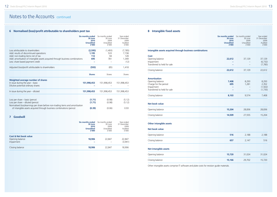### Notes to the Accounts continued

### **6 Normalised (loss)/profit attributable to shareholders post tax**

|                                                                                                                                                      | <b>Six months ended</b><br>30 June<br>2010<br><b>Unaudited</b><br>£'000 | Six months ended<br>30 June<br>2009<br>Unaudited<br>f'000 | Year ended<br>31 December<br>2009<br>Audited<br>f'000 |
|------------------------------------------------------------------------------------------------------------------------------------------------------|-------------------------------------------------------------------------|-----------------------------------------------------------|-------------------------------------------------------|
| Loss attributable to shareholders                                                                                                                    | (2,595)                                                                 | (1,493)                                                   | (7, 785)                                              |
| Add: results of discontinued operations                                                                                                              | 1.195                                                                   | 533                                                       | 7,738                                                 |
| Add: non-trading items net of tax                                                                                                                    | 112                                                                     | 94                                                        | 128                                                   |
| Add: amortisation of intangible assets acquired through business combinations                                                                        | 695                                                                     | 781                                                       | 1,349                                                 |
| Less: share based payment credit                                                                                                                     |                                                                         |                                                           | (12)                                                  |
| Adjusted (loss)/profit attributable to shareholders                                                                                                  | (593)                                                                   | (85)                                                      | 1,418                                                 |
|                                                                                                                                                      | <b>Shares</b>                                                           | Shares                                                    | Shares                                                |
| Weighted average number of shares<br>In issue during the year - basic<br>Dilutive potential ordinary shares                                          | 151.998.453                                                             | 151,998,453                                               | 151,998,453                                           |
| In issue during the year - diluted                                                                                                                   | 151,998,453                                                             | 151,998,453                                               | 151,998,453                                           |
| Loss per share - basic (pence)<br>Loss per share - diluted (pence)<br>Normalised (loss)/earnings per share before non-trading items and amortisation | (1.71)<br>(1.71)                                                        | (0.98)<br>(0.98)                                          | (5.12)<br>(5.12)                                      |
| of intangible assets acquired through business combinations (pence)                                                                                  | (0.39)                                                                  | (0.06)                                                    | 0.93                                                  |

### **7 Goodwill**

|                                                                   | <b>Six months ended</b><br>30 June<br>2010<br><b>Unaudited</b><br>£'000 | Six months ended<br>30 June<br>2009<br>Unaudited<br>f'000 | Year ended<br>31 December<br>2009<br>Audited<br>f'000 |
|-------------------------------------------------------------------|-------------------------------------------------------------------------|-----------------------------------------------------------|-------------------------------------------------------|
| <b>Cost &amp; Net book value</b><br>Opening balance<br>Impairment | 18,906                                                                  | 22,847                                                    | 22,847<br>(3,941)                                     |
| Closing balance                                                   | 18,906                                                                  | 22,847                                                    | 18,906                                                |

### **8 Intangible fixed assets**

|                                                          | <b>Six months ended</b><br>30 June<br>2010<br><b>Unaudited</b><br>£'000 | Six months ended<br>30 June<br>2009<br>Unaudited<br>£'000 | Year ended<br>31 December<br>2009<br>Audited<br>£'000 |
|----------------------------------------------------------|-------------------------------------------------------------------------|-----------------------------------------------------------|-------------------------------------------------------|
| Intangible assets acquired through business combinations |                                                                         |                                                           |                                                       |
| Cost                                                     |                                                                         |                                                           |                                                       |
| Opening balance<br>Impairment                            | 22,612<br>÷                                                             | 37,129                                                    | 37,129<br>(6, 732)                                    |
| Transferred to held for sale                             | $=$                                                                     | $\overline{\phantom{0}}$                                  | (7, 785)                                              |
| Closing balance                                          | 22,612                                                                  | 37,129                                                    | 22,612                                                |
|                                                          |                                                                         |                                                           |                                                       |
| <b>Amortisation</b>                                      |                                                                         |                                                           |                                                       |
| Opening balance                                          | 7,408                                                                   | 8,293                                                     | 8,293                                                 |
| Charge for the period                                    | 695                                                                     | 1,281                                                     | 2,352                                                 |
| Impairment<br>Transferred to held for sale               | $\equiv$                                                                | $\overline{\phantom{0}}$<br>$\overline{\phantom{0}}$      | (1,502)<br>(1,735)                                    |
|                                                          |                                                                         |                                                           |                                                       |
| Closing balance                                          | 8,103                                                                   | 9,574                                                     | 7,408                                                 |
| <b>Net book value</b>                                    |                                                                         |                                                           |                                                       |
| Opening balance                                          | 15,204                                                                  | 28,836                                                    | 28,836                                                |
| Closing balance                                          | 14,509                                                                  | 27,555                                                    | 15,204                                                |
| <b>Other intangible assets</b>                           |                                                                         |                                                           |                                                       |
| <b>Net book value</b>                                    |                                                                         |                                                           |                                                       |
| Opening balance                                          | 516                                                                     | 2,188                                                     | 2,188                                                 |
| Closing balance                                          | 657                                                                     | 2,147                                                     | 516                                                   |
| Net intangible assets                                    |                                                                         |                                                           |                                                       |
| Opening balance                                          | 15,720                                                                  | 31,024                                                    | 31,024                                                |
| Closing balance                                          | 15.166                                                                  | 29,702                                                    | 15,720                                                |

Other intangible assets comprise IT software and plate costs for revision guide materials.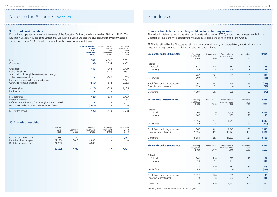### Notes to the Accounts continued Schedule A Schedule A

### **9 Discontinued operations**

Discontinued operations relates to the results of the Education Division, which was sold on 19 March 2010. The Education Division included Letts Educational Ltd, Leckie & Leckie Ltd and the division Lonsdale which was held within Dods (Group) PLC. Results attributable to this business were as follows:

|                                                                                                                     | <b>Six months ended</b><br>30 June<br>2010<br><b>Unaudited</b><br>£'000 | Six months ended<br>30 June<br>2009<br>Unaudited<br>£'000 | Year ended<br>31 December<br>2009<br>Audited<br>£'000 |
|---------------------------------------------------------------------------------------------------------------------|-------------------------------------------------------------------------|-----------------------------------------------------------|-------------------------------------------------------|
| Revenue                                                                                                             | 1,549                                                                   | 4,062                                                     | 7,951                                                 |
| Cost of sales                                                                                                       | (1, 109)                                                                | (2,354)                                                   | (4,452)                                               |
| Gross profit<br>Non-trading items<br>Amortisation of intangible assets acquired through                             | 440                                                                     | 1,708<br>(227)                                            | 3,499<br>(398)                                        |
| business combinations                                                                                               |                                                                         | (500)                                                     | (1,003)                                               |
| Impairment of goodwill and intangible assets<br>Other administrative expenses                                       | (560)                                                                   | (1, 514)                                                  | (9, 171)<br>(2,382)                                   |
| Operating loss                                                                                                      | (120)                                                                   | (533)                                                     | (9,455)                                               |
| Net finance costs                                                                                                   |                                                                         |                                                           | 2                                                     |
| Loss before tax                                                                                                     | (120)                                                                   | (533)                                                     | (9,453)                                               |
| Related income tax                                                                                                  |                                                                         |                                                           | 84                                                    |
| Deferred tax credit arising from intangible assets impaired<br>Loss on sale of discontinued operations (net of tax) | (1,075)                                                                 |                                                           | 1,631                                                 |
| Loss for the period                                                                                                 | (1, 195)                                                                | (533)                                                     | (7, 738)                                              |

### **10 Analysis of net debt**

|                                                                                 | At 1 January<br>2010<br>f'000 | Cash flow<br>f'000                       | Non-cash<br>movements<br>f'000 | Exchange<br>movement<br>£'000 | At 30 June<br>2010<br>f'000 |
|---------------------------------------------------------------------------------|-------------------------------|------------------------------------------|--------------------------------|-------------------------------|-----------------------------|
| Cash at bank and in hand<br>Debt due within one year<br>Debt due after one year | 428<br>(2, 130)<br>(4,880)    | 720<br>7.010<br>$\overline{\phantom{a}}$ | (4,880)<br>4.880               | (17)<br>-<br>-                | 1,131                       |
|                                                                                 | (6, 582)                      | 7,730                                    |                                | (17)                          | 1,131                       |

### **Reconciliation between operating profit and non-statutory measure**

The following tables reconcile operating profit as stated above to EBITDA, a non-statutory measure which the Directors believe is the most appropriate measure in assessing the performance of the Group.

EBITDA is defined by the Directors as being earnings before interest, tax, depreciation, amortisation of assets acquired through business combinations, and non-trading items.

| Six months ended 30 June 2010                                 | Operating<br>(loss)/profit<br>f'000 | Depreciation*<br>£'000 | Amortisation of<br>intangible assets<br>£'000 | Non-trading<br>items<br>f'000 | <b>EBITDA</b><br>£'000 |
|---------------------------------------------------------------|-------------------------------------|------------------------|-----------------------------------------------|-------------------------------|------------------------|
| Political<br>Political<br>Learning                            | (817)<br>50                         | 216<br>6               | 581<br>114                                    | 148<br>8                      | 128<br>178             |
| Head Office                                                   | (767)<br>(500)                      | 222<br>9               | 695                                           | 156                           | 306<br>(491)           |
| Result from continuing operations<br>Education (discontinued) | (1,267)<br>(120)                    | 231<br>32              | 695<br>$\overline{\phantom{a}}$               | 156<br>-                      | (185)<br>(88)          |
| Group total                                                   | (1, 387)                            | 263                    | 695                                           | 156                           | (273)                  |

| <b>Year ended 31 December 2009</b> | Operating<br>profit/(loss)<br>£'000 | Depreciation*<br>£'000 | Amortisation of<br>intangible assets<br>£'000 | Non-trading<br>items<br>£'000 | <b>EBITDA</b><br>£'000 |
|------------------------------------|-------------------------------------|------------------------|-----------------------------------------------|-------------------------------|------------------------|
| Political                          |                                     |                        |                                               |                               |                        |
| Political<br>Learning              | 1,663<br>(107)                      | 430<br>17              | 1,219<br>130                                  | 17<br>76                      | 3,329<br>116           |
|                                    | 1,556                               | 447                    | 1,349                                         | 93                            | 3,445                  |
| <b>Head Office</b>                 | (989)                               | 16                     |                                               | 73                            | (900)                  |
| Result from continuing operations  | 567                                 | 463                    | 1,349                                         | 166                           | 2,545                  |
| Education (discontinued)           | (9,455)                             | 119                    | 10,174                                        | 385                           | 1,223                  |
| Group total                        | (8,888)                             | 582                    | 11,523                                        | 551                           | 3,768                  |
| Six months ended 30 June 2009      | Operating<br>(loss)/profit<br>£'000 | Depreciation*<br>£'000 | Amortisation of<br>intangible assets<br>£'000 | Non-trading<br>items<br>£'000 | <b>EBITDA</b><br>£'000 |
| Political                          |                                     |                        |                                               |                               |                        |
| Political                          | (804)                               | 210                    | 627                                           | 28                            | 61                     |
| Learning                           | 330                                 | 10                     | 154                                           | 53                            | 547                    |
|                                    | (474)                               | 220                    | 781                                           | 81                            | 608                    |
| <b>Head Office</b>                 | (548)                               | 8                      |                                               | 51                            | (489)                  |
| Result from continuing operations  | 1,022                               | 228                    | 781                                           | 132                           | 119                    |
| Education (discontinued)           | (533)                               | 48                     | 500                                           | 226                           | 241                    |
| Group total                        | (1, 555)                            | 276                    | 1,281                                         | 358                           | 360                    |

\*including amortisation of software shown within intangibles.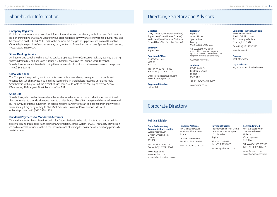### **Company Registrar**

Equiniti provide a range of shareholder information on-line. You can check your holding and find practical help on transferring shares and updating your personal details at www.sharereview.co.uk. Equiniti may also be contacted on 0871 384 2639 (calls to this number are charged at 8p per minute from a BT landline. Other telephony providers' costs may vary), or by writing to Equiniti, Aspect House, Spencer Road, Lancing, West Sussex, BN99 6DA.

### **Share Dealing Service**

An internet and telephone share dealing service is operated by the Company's registrar, Equiniti, enabling shareholders to buy and sell Dods (Group) PLC Ordinary shares on the London Stock Exchange. Shareholders who are interested in using these services should visit www.sharereview.co.uk or telephone +44 (0) 845 603 737.

### **Unsolicited Mail**

The Company is required by law to make its share register available upon request to the public and organisations which may use it as a mailing list resulting in shareholders receiving unsolicited mail. Shareholders wishing to limit the receipt of such mail should write to the Mailing Preference Service, DMA House, 70 Margaret Street, London W1W 8SS.

### **ShareGift**

Shareholders, who hold only a small number of shares, where dealing costs make it uneconomic to sell them, may wish to consider donating them to charity though ShareGift, a registered charity administered by The Orr Mackintosh Foundation. The relevant share transfer form can be obtained from their website www.sharegift.org or by writing to ShareGift, 5 Lower Grosvenor Place, London SW1W 0EJ, or by telephoning +44 (0)20 7828 1151.

### **Dividend Payments to Mandated Accounts**

Where shareholders have given instruction for future dividends to be paid directly to a bank or building society account, this is done via the Bankers Automated Clearing System (BACS). This facility provides an immediate access to funds, without the inconvenience of waiting for postal delivery or having personally to visit a bank.

## Shareholder Information **Directory, Secretary and Advisors**

### **Directors**

Gerry Murray (Chief Executive Officer) Rupert Levy (Group Finance Director) Kevin Hand (Non-Executive Chairman) Richard Flaye (Non-Executive Director)

#### **Secretary** Rupert Levy

**Registered Office**

4 Grosvenor Place London SW1X 7DL

Tel: +44 (0) 20 7811 5020 Fax: +44 (0) 20 7245 0271

Email: info@dodsgroupplc.com www.dodsgroupplc.com

**Registered Number** 04267888

## Corporate Directory

### **Political Division**

**Dods Parliamentary Communications Limited** Westminster Tower 3 Albert Embankment London SE1 7SP Tel: +44 (0) 20 7091 7500

Fax: +44 (0) 20 7091 7505 www.dods.co.uk www.trombinoscope.com

www.epolitix.com www.civilservicenetwork.com

Equiniti Aspect House Spencer Road Lancing West Sussex BN99 6DA

**Registrar**

Tel: +44 0871 384 2639 (calls to this number are charged at 8p per minute from a BT landline. Other telephony providers' costs may vary)

www.equiniti.co.uk

#### **Auditors**

KPMG Audit Plc 8 Salisbury Square London EC4Y 8BB

Tel: +44 (0) 20 7311 1000

www.kpmg.co.uk

**Huveaux Politique** 114 Charles de Gaulle 92200 Neuilly sur Seine

Tel: +33 1 55 62 68 00 Fax: +33 1 55 62 69 56

France

#### **Corporate Financial Advisors**

NOMAD and Broker Brewin Dolphin Limited 7 Drumsheugh Gardens Edinburgh EH3 7QH

Tel: +44 (0) 131 225 2566

www.blw.co.uk

#### **Bankers** Bank of Scotland

**Legal Advisors** Reynolds Porter Chamberlain LLP

**Huveaux Brussels** The International Press Centre 1 Boulevard Charlemagne 1041 Bruxelles Tel: +32 2 285 0891 Fax: +32 2 285 0823 **Fenman Limited** Unit 2, e-space North 181 Wisbech Road Littleport **Cambridgeshire** CB6 1RA

Belgium

www.theparliament.com

Tel: +44 (0) 1353 865350 Fax: +44 (0) 1353 865351

www.fenman.co.uk www.trainingjournal.com